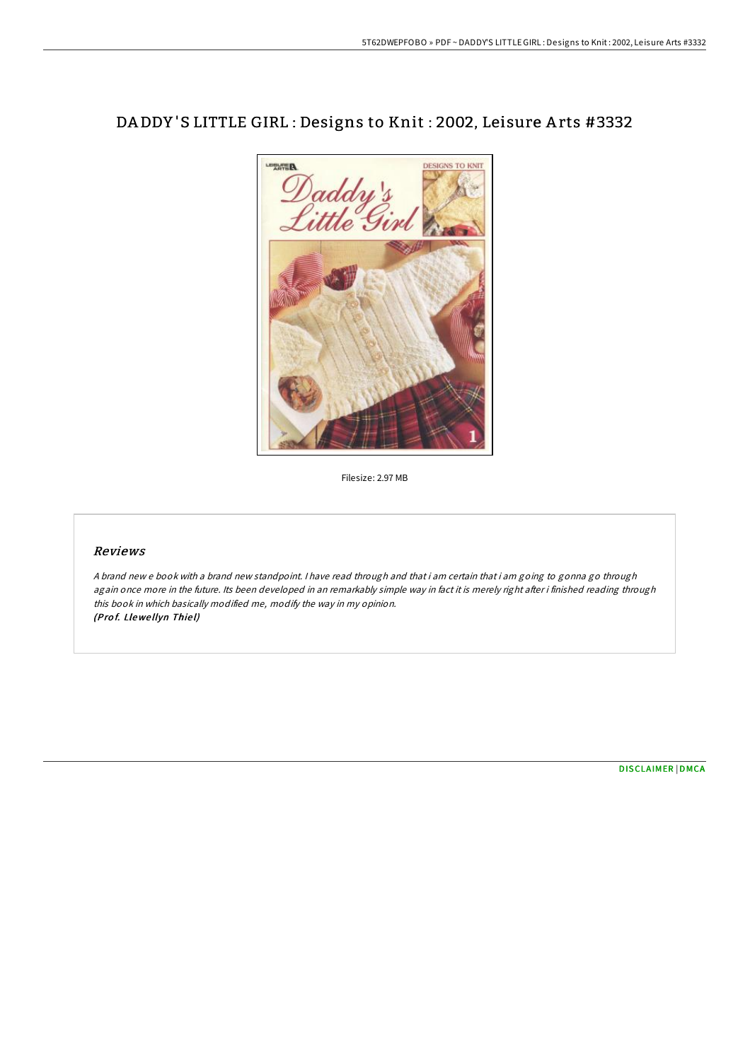## DA DDY 'S LITTLE GIRL : Designs to Knit : 2002, Leisure A rts #3332



Filesize: 2.97 MB

## Reviews

A brand new <sup>e</sup> book with <sup>a</sup> brand new standpoint. I have read through and that i am certain that i am going to gonna go through again once more in the future. Its been developed in an remarkably simple way in fact it is merely right after i finished reading through this book in which basically modified me, modify the way in my opinion. (Prof. Llewellyn Thiel)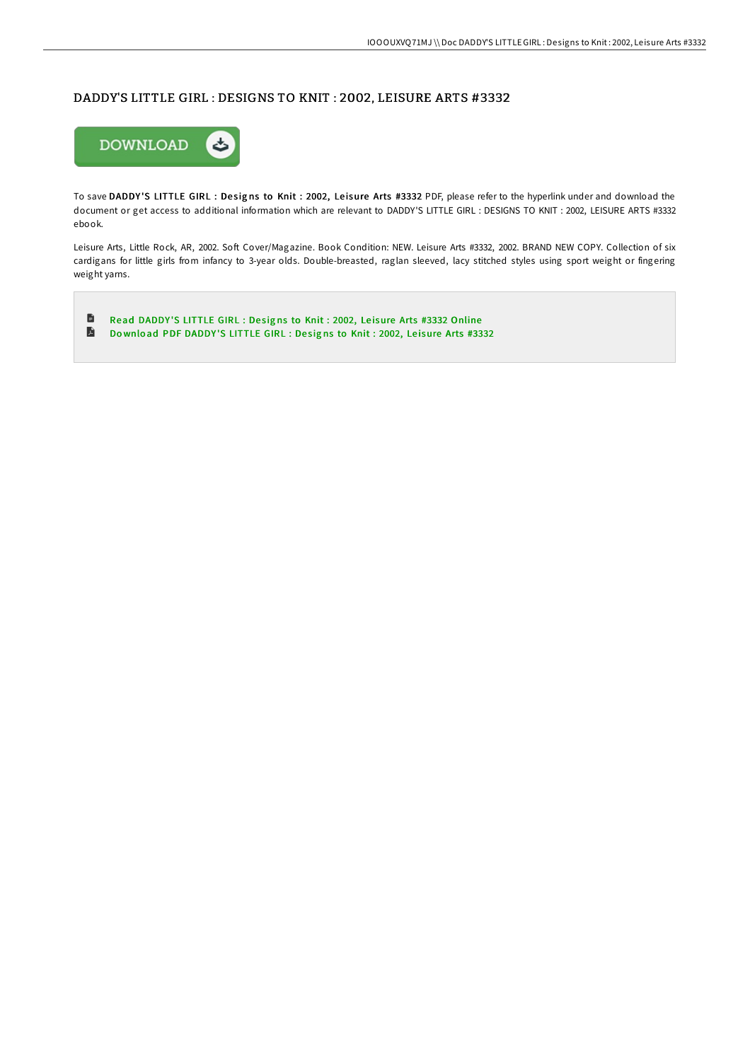## DADDY'S LITTLE GIRL : DESIGNS TO KNIT : 2002, LEISURE ARTS #3332



To save DADDY'S LITTLE GIRL : Designs to Knit : 2002, Leisure Arts #3332 PDF, please refer to the hyperlink under and download the document or get access to additional information which are relevant to DADDY'S LITTLE GIRL : DESIGNS TO KNIT : 2002, LEISURE ARTS #3332 ebook.

Leisure Arts, Little Rock, AR, 2002. Soft Cover/Magazine. Book Condition: NEW. Leisure Arts #3332, 2002. BRAND NEW COPY. Collection of six cardigans for little girls from infancy to 3-year olds. Double-breasted, raglan sleeved, lacy stitched styles using sport weight or fingering weight yarns.

 $\blacksquare$ Read [DADDY](http://almighty24.tech/daddy-x27-s-little-girl-designs-to-knit-2002-lei.html)'S LITTLE GIRL : Designs to Knit : 2002, Leisure Arts #3332 Online D Download PDF [DADDY](http://almighty24.tech/daddy-x27-s-little-girl-designs-to-knit-2002-lei.html)'S LITTLE GIRL : Designs to Knit : 2002, Leisure Arts #3332